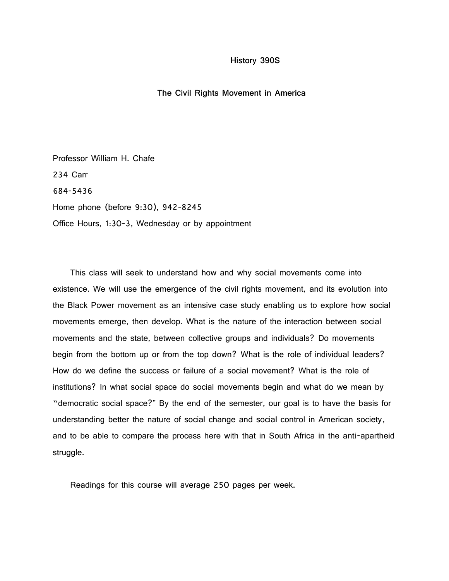## **History 390S**

## **The Civil Rights Movement in America**

Professor William H. Chafe 234 Carr 684-5436 Home phone (before 9:30), 942-8245 Office Hours, 1:30-3, Wednesday or by appointment

 This class will seek to understand how and why social movements come into existence. We will use the emergence of the civil rights movement, and its evolution into the Black Power movement as an intensive case study enabling us to explore how social movements emerge, then develop. What is the nature of the interaction between social movements and the state, between collective groups and individuals? Do movements begin from the bottom up or from the top down? What is the role of individual leaders? How do we define the success or failure of a social movement? What is the role of institutions? In what social space do social movements begin and what do we mean by "democratic social space?" By the end of the semester, our goal is to have the basis for understanding better the nature of social change and social control in American society, and to be able to compare the process here with that in South Africa in the anti-apartheid struggle.

Readings for this course will average 250 pages per week.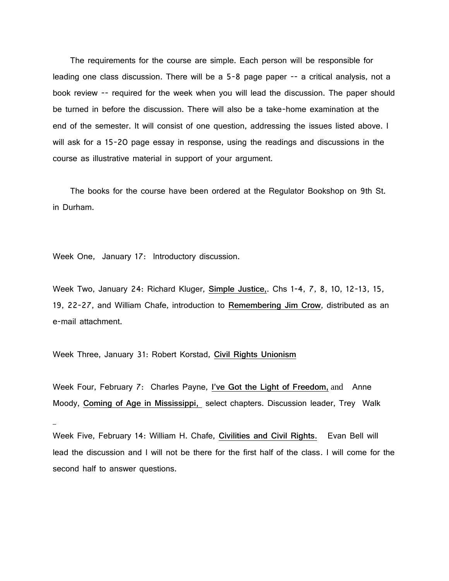The requirements for the course are simple. Each person will be responsible for leading one class discussion. There will be a 5-8 page paper -- a critical analysis, not a book review -- required for the week when you will lead the discussion. The paper should be turned in before the discussion. There will also be a take-home examination at the end of the semester. It will consist of one question, addressing the issues listed above. I will ask for a 15-20 page essay in response, using the readings and discussions in the course as illustrative material in support of your argument.

 The books for the course have been ordered at the Regulator Bookshop on 9th St. in Durham.

Week One, January 17: Introductory discussion.

Week Two, January 24: Richard Kluger, **Simple Justice,**. Chs 1-4, 7, 8, 10, 12-13, 15, 19, 22-27, and William Chafe, introduction to **Remembering Jim Crow**, distributed as an e-mail attachment.

Week Three, January 31: Robert Korstad, **Civil Rights Unionism**

Week Four, February 7: Charles Payne, **I've Got the Light of Freedom,** and Anne Moody, **Coming of Age in Mississippi,** select chapters. Discussion leader, Trey Walk

Week Five, February 14: William H. Chafe, **Civilities and Civil Rights.** Evan Bell will lead the discussion and I will not be there for the first half of the class. I will come for the second half to answer questions.